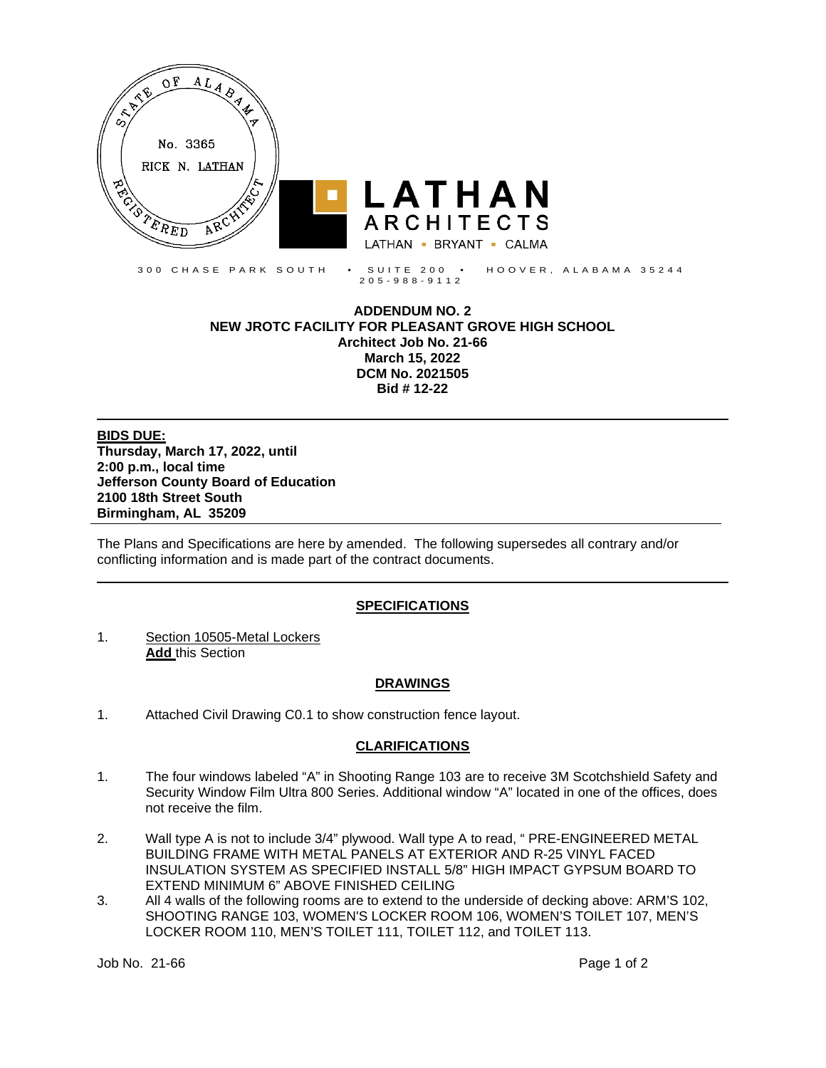

**ADDENDUM NO. 2 NEW JROTC FACILITY FOR PLEASANT GROVE HIGH SCHOOL Architect Job No. 21-66 March 15, 2022 DCM No. 2021505 Bid # 12-22**

**BIDS DUE: Thursday, March 17, 2022, until 2:00 p.m., local time Jefferson County Board of Education 2100 18th Street South Birmingham, AL 35209**

The Plans and Specifications are here by amended. The following supersedes all contrary and/or conflicting information and is made part of the contract documents.

### **SPECIFICATIONS**

1. Section 10505-Metal Lockers **Add** this Section

### **DRAWINGS**

1. Attached Civil Drawing C0.1 to show construction fence layout.

# **CLARIFICATIONS**

- 1. The four windows labeled "A" in Shooting Range 103 are to receive 3M Scotchshield Safety and Security Window Film Ultra 800 Series. Additional window "A" located in one of the offices, does not receive the film.
- 2. Wall type A is not to include 3/4" plywood. Wall type A to read, " PRE-ENGINEERED METAL BUILDING FRAME WITH METAL PANELS AT EXTERIOR AND R-25 VINYL FACED INSULATION SYSTEM AS SPECIFIED INSTALL 5/8" HIGH IMPACT GYPSUM BOARD TO EXTEND MINIMUM 6" ABOVE FINISHED CEILING
- 3. All 4 walls of the following rooms are to extend to the underside of decking above: ARM'S 102, SHOOTING RANGE 103, WOMEN'S LOCKER ROOM 106, WOMEN'S TOILET 107, MEN'S LOCKER ROOM 110, MEN'S TOILET 111, TOILET 112, and TOILET 113.

Job No. 21-66 Page 1 of 2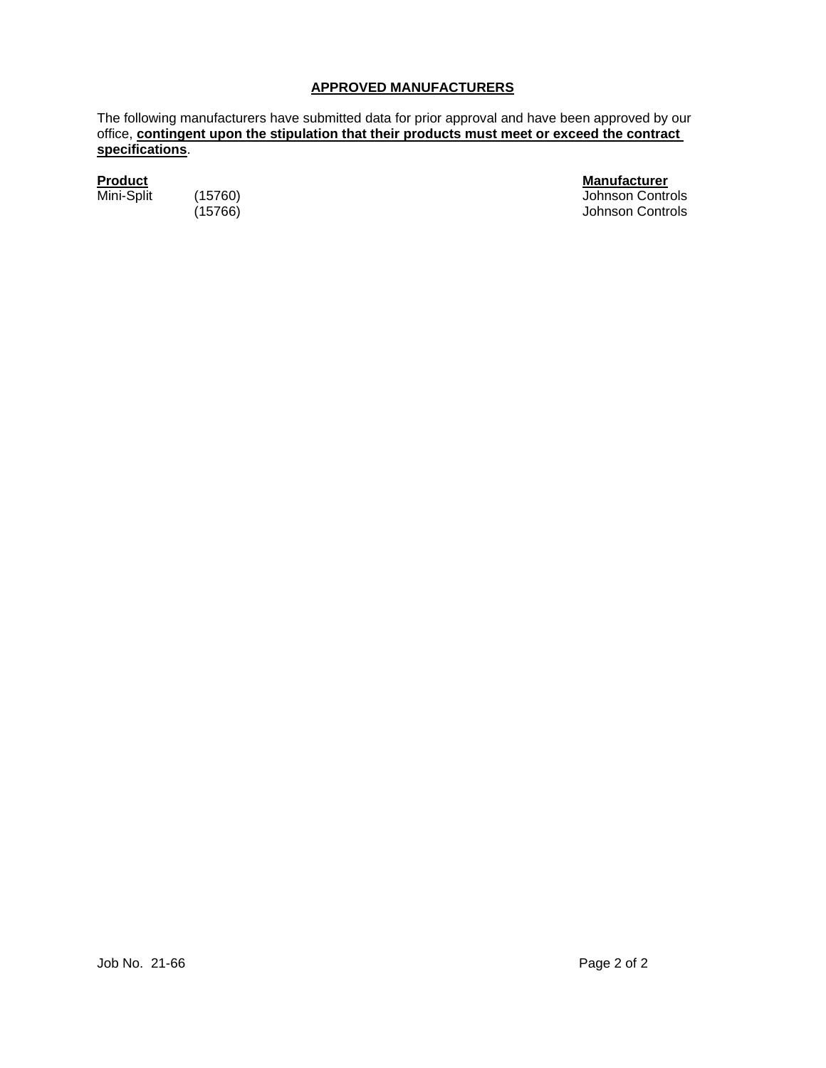# **APPROVED MANUFACTURERS**

The following manufacturers have submitted data for prior approval and have been approved by our office, **contingent upon the stipulation that their products must meet or exceed the contract specifications**.

**Product Manufacturer** (15760) Johnson Controls<br>
(15766) Johnson Controls Johnson Controls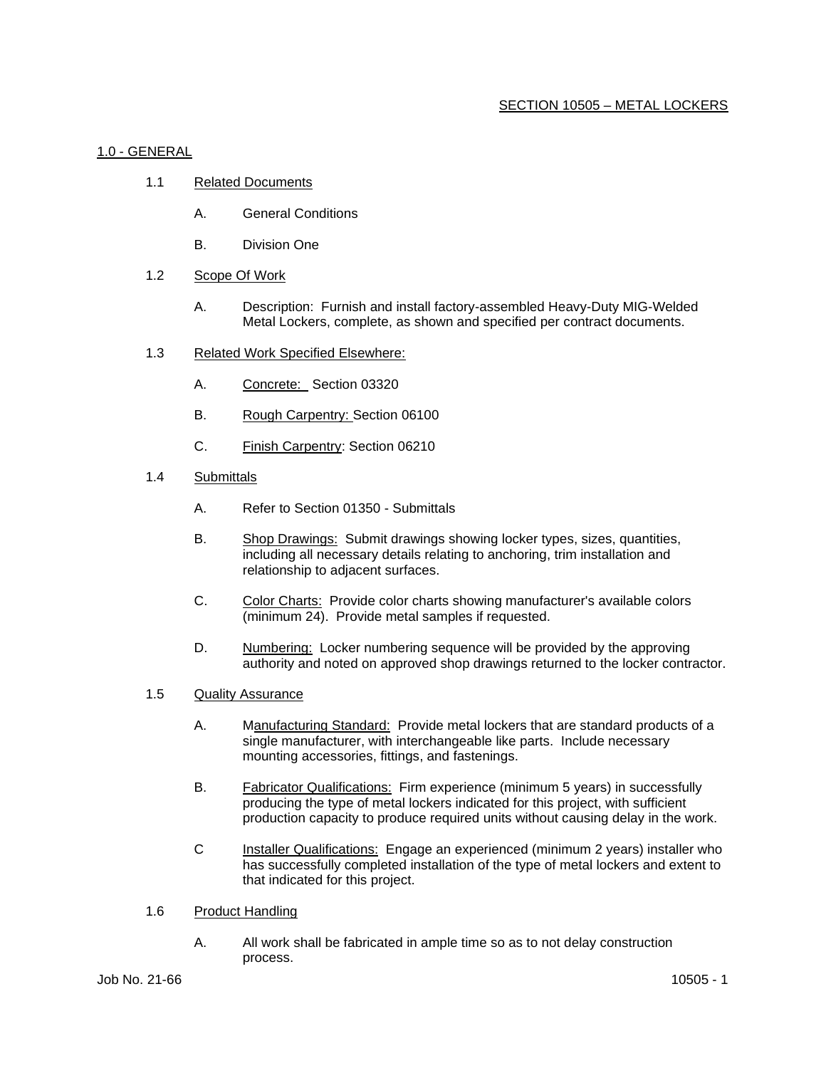## 1.0 - GENERAL

- 1.1 Related Documents
	- A. General Conditions
	- B. Division One
- 1.2 Scope Of Work
	- A. Description: Furnish and install factory-assembled Heavy-Duty MIG-Welded Metal Lockers, complete, as shown and specified per contract documents.
- 1.3 Related Work Specified Elsewhere:
	- A. Concrete: Section 03320
	- B. Rough Carpentry: Section 06100
	- C. Finish Carpentry: Section 06210
- 1.4 Submittals
	- A. Refer to Section 01350 Submittals
	- B. Shop Drawings: Submit drawings showing locker types, sizes, quantities, including all necessary details relating to anchoring, trim installation and relationship to adjacent surfaces.
	- C. Color Charts: Provide color charts showing manufacturer's available colors (minimum 24). Provide metal samples if requested.
	- D. Numbering: Locker numbering sequence will be provided by the approving authority and noted on approved shop drawings returned to the locker contractor.
- 1.5 Quality Assurance
	- A. Manufacturing Standard: Provide metal lockers that are standard products of a single manufacturer, with interchangeable like parts. Include necessary mounting accessories, fittings, and fastenings.
	- B. Fabricator Qualifications: Firm experience (minimum 5 years) in successfully producing the type of metal lockers indicated for this project, with sufficient production capacity to produce required units without causing delay in the work.
	- C Installer Qualifications: Engage an experienced (minimum 2 years) installer who has successfully completed installation of the type of metal lockers and extent to that indicated for this project.
- 1.6 Product Handling
	- A. All work shall be fabricated in ample time so as to not delay construction process.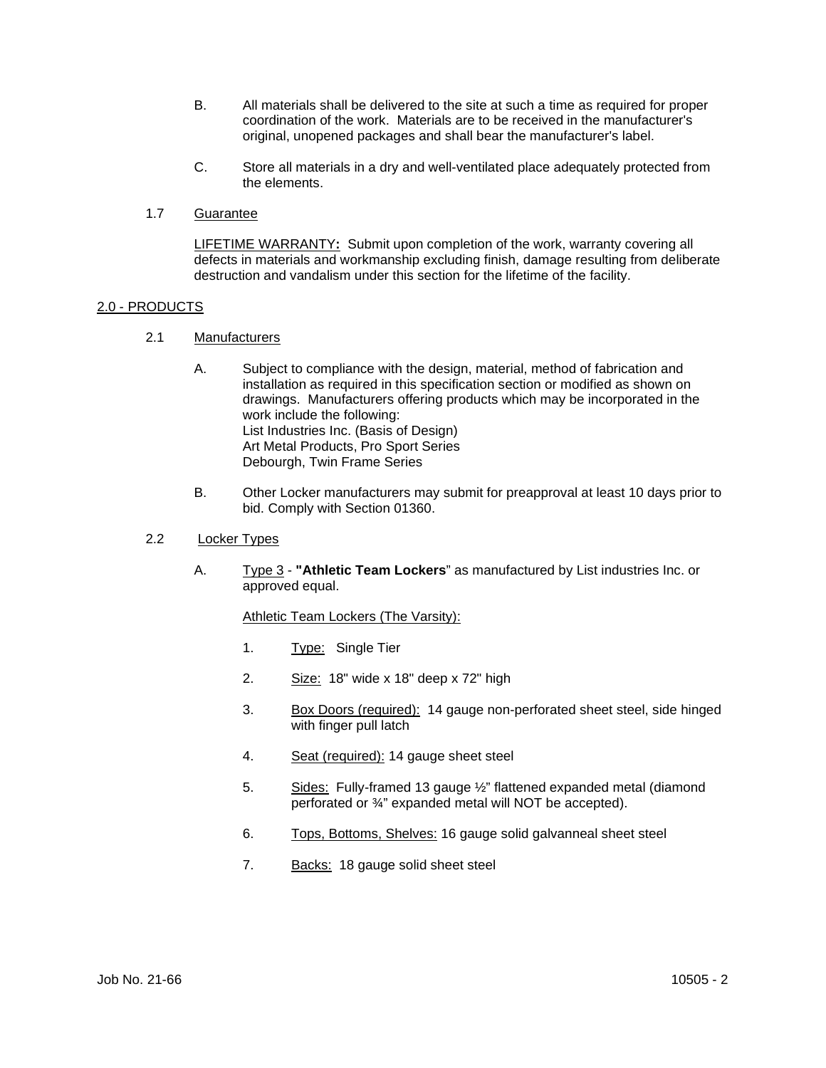- B. All materials shall be delivered to the site at such a time as required for proper coordination of the work. Materials are to be received in the manufacturer's original, unopened packages and shall bear the manufacturer's label.
- C. Store all materials in a dry and well-ventilated place adequately protected from the elements.
- 1.7 Guarantee

LIFETIME WARRANTY**:** Submit upon completion of the work, warranty covering all defects in materials and workmanship excluding finish, damage resulting from deliberate destruction and vandalism under this section for the lifetime of the facility.

## 2.0 - PRODUCTS

- 2.1 Manufacturers
	- A. Subject to compliance with the design, material, method of fabrication and installation as required in this specification section or modified as shown on drawings. Manufacturers offering products which may be incorporated in the work include the following: List Industries Inc. (Basis of Design) Art Metal Products, Pro Sport Series Debourgh, Twin Frame Series
	- B. Other Locker manufacturers may submit for preapproval at least 10 days prior to bid. Comply with Section 01360.
- 2.2 Locker Types
	- A. Type 3 **"Athletic Team Lockers**" as manufactured by List industries Inc. or approved equal.

Athletic Team Lockers (The Varsity):

- 1. Type: Single Tier
- 2. Size: 18" wide x 18" deep x 72" high
- 3. Box Doors (required): 14 gauge non-perforated sheet steel, side hinged with finger pull latch
- 4. Seat (required): 14 gauge sheet steel
- 5. Sides: Fully-framed 13 gauge ½" flattened expanded metal (diamond perforated or ¾" expanded metal will NOT be accepted).
- 6. Tops, Bottoms, Shelves: 16 gauge solid galvanneal sheet steel
- 7. Backs: 18 gauge solid sheet steel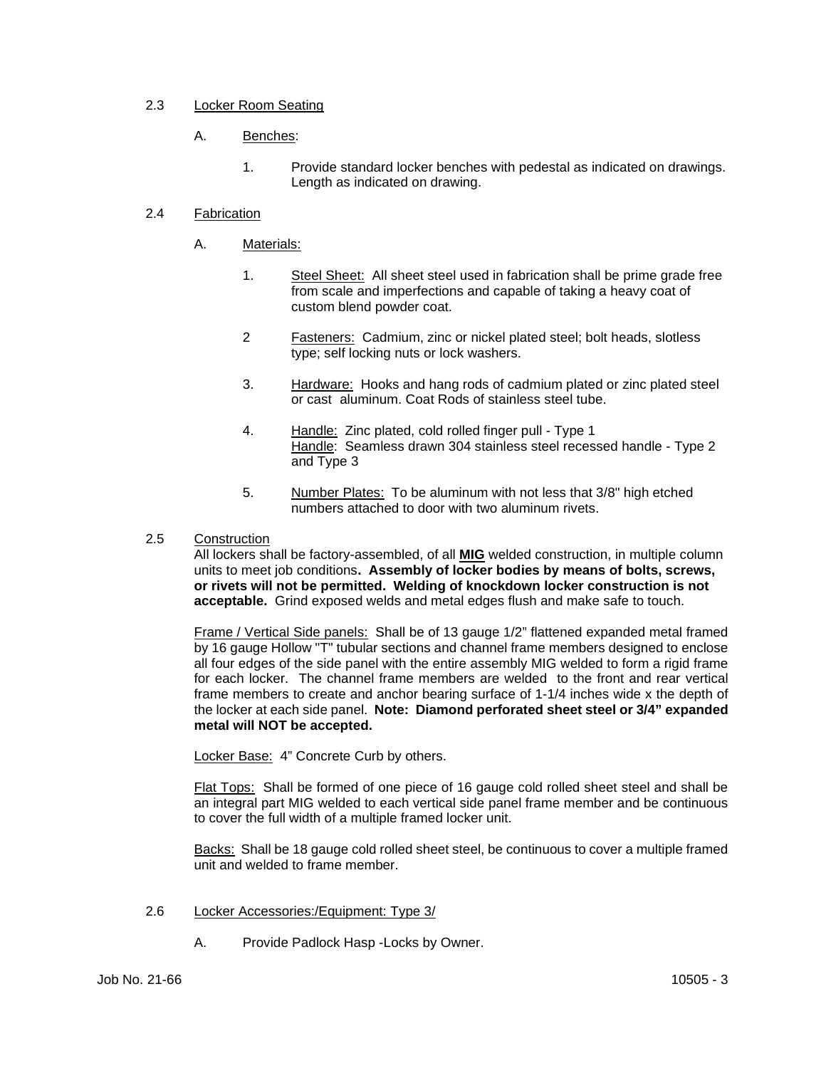# 2.3 Locker Room Seating

# A. Benches:

1. Provide standard locker benches with pedestal as indicated on drawings. Length as indicated on drawing.

## 2.4 Fabrication

- A. Materials:
	- 1. Steel Sheet: All sheet steel used in fabrication shall be prime grade free from scale and imperfections and capable of taking a heavy coat of custom blend powder coat.
	- 2 Fasteners: Cadmium, zinc or nickel plated steel; bolt heads, slotless type; self locking nuts or lock washers.
	- 3. Hardware: Hooks and hang rods of cadmium plated or zinc plated steel or cast aluminum. Coat Rods of stainless steel tube.
	- 4. Handle: Zinc plated, cold rolled finger pull Type 1 Handle: Seamless drawn 304 stainless steel recessed handle - Type 2 and Type 3
	- 5. Number Plates: To be aluminum with not less that 3/8" high etched numbers attached to door with two aluminum rivets.

### 2.5 Construction

All lockers shall be factory-assembled, of all **MIG** welded construction, in multiple column units to meet job conditions**. Assembly of locker bodies by means of bolts, screws, or rivets will not be permitted. Welding of knockdown locker construction is not acceptable.** Grind exposed welds and metal edges flush and make safe to touch.

Frame / Vertical Side panels: Shall be of 13 gauge 1/2" flattened expanded metal framed by 16 gauge Hollow "T" tubular sections and channel frame members designed to enclose all four edges of the side panel with the entire assembly MIG welded to form a rigid frame for each locker. The channel frame members are welded to the front and rear vertical frame members to create and anchor bearing surface of 1-1/4 inches wide x the depth of the locker at each side panel. **Note: Diamond perforated sheet steel or 3/4" expanded metal will NOT be accepted.**

Locker Base:4" Concrete Curb by others.

Flat Tops: Shall be formed of one piece of 16 gauge cold rolled sheet steel and shall be an integral part MIG welded to each vertical side panel frame member and be continuous to cover the full width of a multiple framed locker unit.

Backs: Shall be 18 gauge cold rolled sheet steel, be continuous to cover a multiple framed unit and welded to frame member.

- 2.6 Locker Accessories:/Equipment: Type 3/
	- A. Provide Padlock Hasp -Locks by Owner.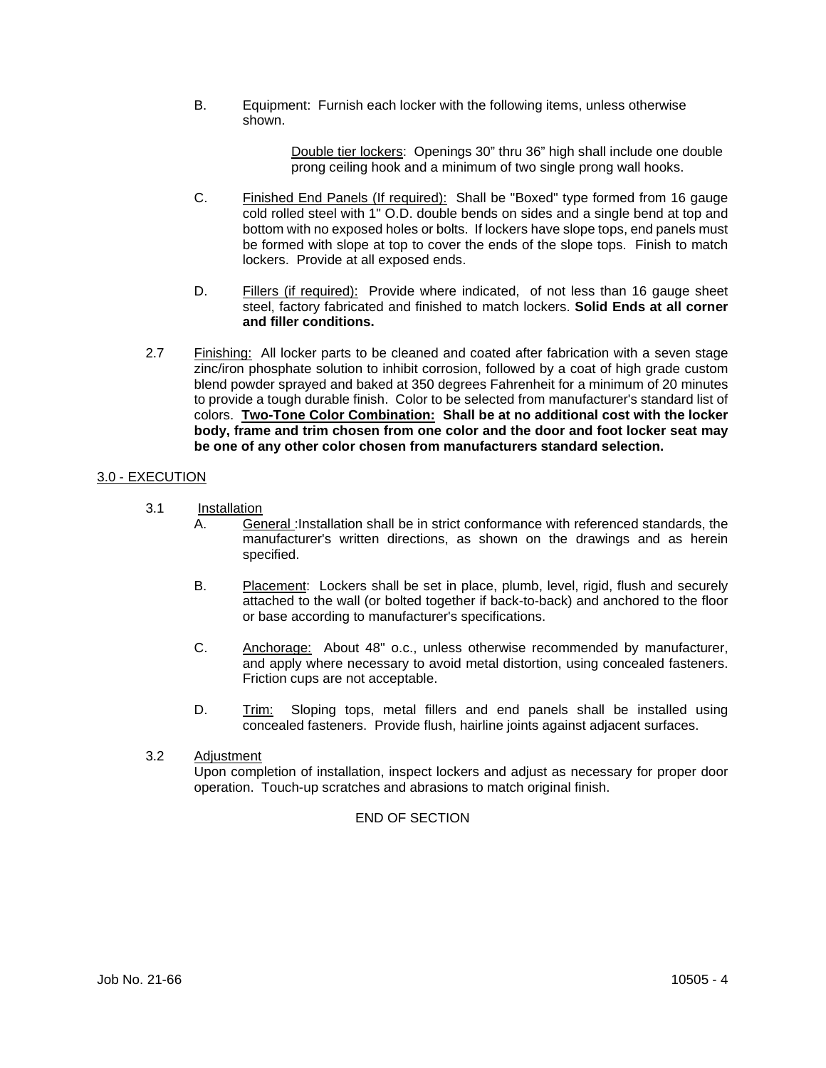B. Equipment: Furnish each locker with the following items, unless otherwise shown.

> Double tier lockers: Openings 30" thru 36" high shall include one double prong ceiling hook and a minimum of two single prong wall hooks.

- C. Finished End Panels (If required): Shall be "Boxed" type formed from 16 gauge cold rolled steel with 1" O.D. double bends on sides and a single bend at top and bottom with no exposed holes or bolts. If lockers have slope tops, end panels must be formed with slope at top to cover the ends of the slope tops. Finish to match lockers. Provide at all exposed ends.
- D. Fillers (if required): Provide where indicated, of not less than 16 gauge sheet steel, factory fabricated and finished to match lockers. **Solid Ends at all corner and filler conditions.**
- 2.7 Finishing: All locker parts to be cleaned and coated after fabrication with a seven stage zinc/iron phosphate solution to inhibit corrosion, followed by a coat of high grade custom blend powder sprayed and baked at 350 degrees Fahrenheit for a minimum of 20 minutes to provide a tough durable finish. Color to be selected from manufacturer's standard list of colors. **Two-Tone Color Combination: Shall be at no additional cost with the locker body, frame and trim chosen from one color and the door and foot locker seat may be one of any other color chosen from manufacturers standard selection.**

## 3.0 - EXECUTION

- 3.1 Installation
	- A. General :Installation shall be in strict conformance with referenced standards, the manufacturer's written directions, as shown on the drawings and as herein specified.
	- B. Placement: Lockers shall be set in place, plumb, level, rigid, flush and securely attached to the wall (or bolted together if back-to-back) and anchored to the floor or base according to manufacturer's specifications.
	- C. Anchorage: About 48" o.c., unless otherwise recommended by manufacturer, and apply where necessary to avoid metal distortion, using concealed fasteners. Friction cups are not acceptable.
	- D. Trim: Sloping tops, metal fillers and end panels shall be installed using concealed fasteners. Provide flush, hairline joints against adjacent surfaces.

### 3.2 Adjustment

Upon completion of installation, inspect lockers and adjust as necessary for proper door operation. Touch-up scratches and abrasions to match original finish.

### END OF SECTION